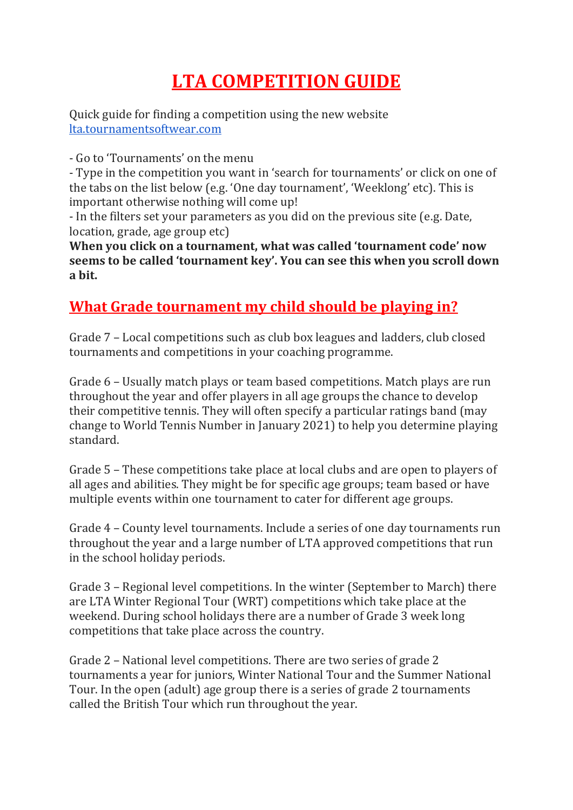## **LTA COMPETITION GUIDE**

Quick guide for finding a competition using the new website [lta.tournamentsoftwear.com](http://lta.tournamentsoftwear.com/)

- Go to 'Tournaments' on the menu

- Type in the competition you want in 'search for tournaments' or click on one of the tabs on the list below (e.g. 'One day tournament', 'Weeklong' etc). This is important otherwise nothing will come up!

- In the filters set your parameters as you did on the previous site (e.g. Date, location, grade, age group etc)

**When you click on a tournament, what was called 'tournament code' now seems to be called 'tournament key'. You can see this when you scroll down a bit.**

## **What Grade tournament my child should be playing in?**

Grade 7 – Local competitions such as club box leagues and ladders, club closed tournaments and competitions in your coaching programme.

Grade 6 – Usually match plays or team based competitions. Match plays are run throughout the year and offer players in all age groups the chance to develop their competitive tennis. They will often specify a particular ratings band (may change to World Tennis Number in January 2021) to help you determine playing standard.

Grade 5 – These competitions take place at local clubs and are open to players of all ages and abilities. They might be for specific age groups; team based or have multiple events within one tournament to cater for different age groups.

Grade 4 – County level tournaments. Include a series of one day tournaments run throughout the year and a large number of LTA approved competitions that run in the school holiday periods.

Grade 3 – Regional level competitions. In the winter (September to March) there are LTA Winter Regional Tour (WRT) competitions which take place at the weekend. During school holidays there are a number of Grade 3 week long competitions that take place across the country.

Grade 2 – National level competitions. There are two series of grade 2 tournaments a year for juniors, Winter National Tour and the Summer National Tour. In the open (adult) age group there is a series of grade 2 tournaments called the British Tour which run throughout the year.